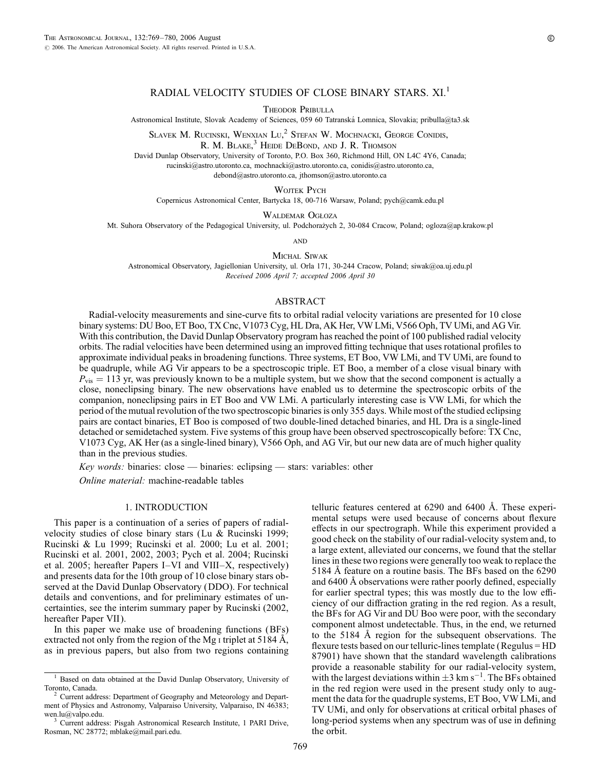# RADIAL VELOCITY STUDIES OF CLOSE BINARY STARS. XI.<sup>1</sup>

Theodor Pribulla

Astronomical Institute, Slovak Academy of Sciences, 059 60 Tatranská Lomnica, Slovakia; pribulla@ta3.sk

SLAVEK M. RUCINSKI, WENXIAN LU,<sup>2</sup> STEFAN W. MOCHNACKI, GEORGE CONIDIS,

R. M. BLAKE,<sup>3</sup> HEIDE DEBOND, AND J. R. THOMSON

David Dunlap Observatory, University of Toronto, P.O. Box 360, Richmond Hill, ON L4C 4Y6, Canada; rucinski@astro.utoronto.ca, mochnacki@astro.utoronto.ca, conidis@astro.utoronto.ca,

debond@astro.utoronto.ca, jthomson@astro.utoronto.ca

WOJTEK PYCH

Copernicus Astronomical Center, Bartycka 18, 00-716 Warsaw, Poland; pych@camk.edu.pl

WALDEMAR OGŁOZA

Mt. Suhora Observatory of the Pedagogical University, ul. Podchorażych 2, 30-084 Cracow, Poland; ogloza@ap.krakow.pl

**AND** 

MICHAL SIWAK

Astronomical Observatory, Jagiellonian University, ul. Orla 171, 30-244 Cracow, Poland; siwak@oa.uj.edu.pl Recei*v*ed 2006 April 7; accepted 2006 April 30

#### ABSTRACT

Radial-velocity measurements and sine-curve fits to orbital radial velocity variations are presented for 10 close binary systems: DU Boo, ET Boo, TX Cnc, V1073 Cyg, HL Dra, AK Her, VW LMi, V566 Oph, TV UMi, and AG Vir. With this contribution, the David Dunlap Observatory program has reached the point of 100 published radial velocity orbits. The radial velocities have been determined using an improved fitting technique that uses rotational profiles to approximate individual peaks in broadening functions. Three systems, ET Boo, VW LMi, and TV UMi, are found to be quadruple, while AG Vir appears to be a spectroscopic triple. ET Boo, a member of a close visual binary with  $P_{\text{vis}} = 113$  yr, was previously known to be a multiple system, but we show that the second component is actually a close, noneclipsing binary. The new observations have enabled us to determine the spectroscopic orbits of the companion, noneclipsing pairs in ET Boo and VW LMi. A particularly interesting case is VW LMi, for which the period of the mutual revolution of the two spectroscopic binaries is only 355 days. While most of the studied eclipsing pairs are contact binaries, ET Boo is composed of two double-lined detached binaries, and HL Dra is a single-lined detached or semidetached system. Five systems of this group have been observed spectroscopically before: TX Cnc, V1073 Cyg, AK Her (as a single-lined binary), V566 Oph, and AG Vir, but our new data are of much higher quality than in the previous studies.

Key words: binaries: close — binaries: eclipsing — stars: variables: other

Online material: machine-readable tables

### 1. INTRODUCTION

This paper is a continuation of a series of papers of radialvelocity studies of close binary stars (Lu & Rucinski 1999; Rucinski & Lu 1999; Rucinski et al. 2000; Lu et al. 2001; Rucinski et al. 2001, 2002, 2003; Pych et al. 2004; Rucinski et al. 2005; hereafter Papers I–VI and VIII–X, respectively) and presents data for the 10th group of 10 close binary stars observed at the David Dunlap Observatory (DDO). For technical details and conventions, and for preliminary estimates of uncertainties, see the interim summary paper by Rucinski (2002, hereafter Paper VII).

In this paper we make use of broadening functions (BFs) extracted not only from the region of the Mg  $\mu$  triplet at 5184 Å, as in previous papers, but also from two regions containing telluric features centered at  $6290$  and  $6400$  Å. These experimental setups were used because of concerns about flexure effects in our spectrograph. While this experiment provided a good check on the stability of our radial-velocity system and, to a large extent, alleviated our concerns, we found that the stellar lines in these two regions were generally too weak to replace the 5184 Å feature on a routine basis. The BFs based on the 6290 and 6400 Å observations were rather poorly defined, especially for earlier spectral types; this was mostly due to the low efficiency of our diffraction grating in the red region. As a result, the BFs for AG Vir and DU Boo were poor, with the secondary component almost undetectable. Thus, in the end, we returned to the  $5184 \text{ Å}$  region for the subsequent observations. The flexure tests based on our telluric-lines template (Regulus = HD 87901) have shown that the standard wavelength calibrations provide a reasonable stability for our radial-velocity system, with the largest deviations within  $\pm 3$  km s<sup>-1</sup>. The BFs obtained in the red region were used in the present study only to augment the data for the quadruple systems, ET Boo, VW LMi, and TV UMi, and only for observations at critical orbital phases of long-period systems when any spectrum was of use in defining the orbit.

<sup>&</sup>lt;sup>1</sup> Based on data obtained at the David Dunlap Observatory, University of Toronto, Canada.

Current address: Department of Geography and Meteorology and Department of Physics and Astronomy, Valparaiso University, Valparaiso, IN 46383; wen.lu@valpo.edu.<br><sup>3</sup> Current address: Pisgah Astronomical Research Institute, 1 PARI Drive,

Rosman, NC 28772; mblake@mail.pari.edu.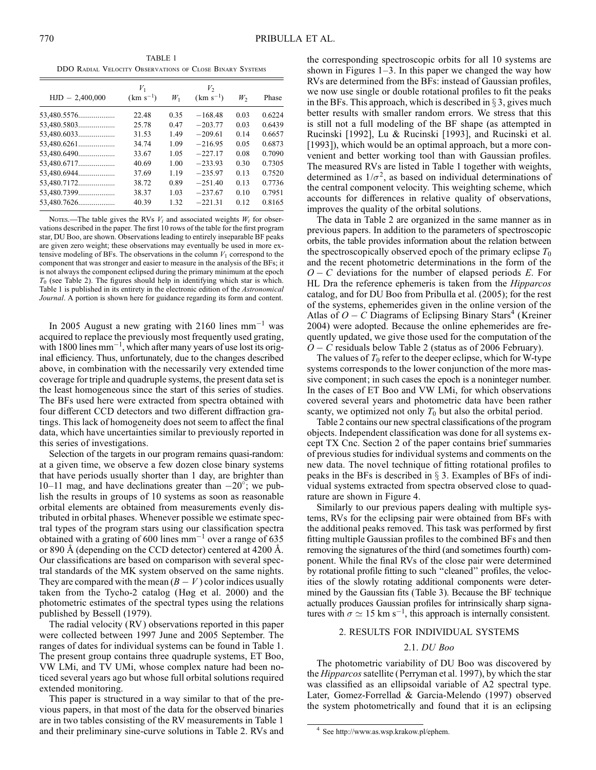TABLE 1 DDO Radial Velocity Observations of Close Binary Systems

|                   | $V_1$         |       | $V_2$         |      |        |
|-------------------|---------------|-------|---------------|------|--------|
| $HJD - 2,400,000$ | $(km s^{-1})$ | $W_1$ | $(km s^{-1})$ | W,   | Phase  |
| 53,480.5576       | 22.48         | 0.35  | $-168.48$     | 0.03 | 0.6224 |
| 53,480.5803       | 25.78         | 0.47  | $-203.77$     | 0.03 | 0.6439 |
| 53,480.6033       | 31.53         | 1.49  | $-209.61$     | 0.14 | 0.6657 |
| 53,480.6261       | 34.74         | 1.09  | $-216.95$     | 0.05 | 0.6873 |
| 53,480.6490       | 33.67         | 1.05  | $-227.17$     | 0.08 | 0.7090 |
| 53,480.6717       | 40.69         | 1.00  | $-233.93$     | 0.30 | 0.7305 |
| 53,480.6944       | 37.69         | 1.19  | $-235.97$     | 0.13 | 0.7520 |
| 53,480.7172       | 38.72         | 0.89  | $-251.40$     | 0.13 | 0.7736 |
| 53,480.7399       | 38.37         | 1.03  | $-237.67$     | 0.10 | 0.7951 |
| 53,480.7626       | 40.39         | 1.32  | $-221.31$     | 0.12 | 0.8165 |

Notes.—The table gives the RVs  $V_i$  and associated weights  $W_i$  for observations described in the paper. The first 10 rows of the table for the first program star, DU Boo, are shown. Observations leading to entirely inseparable BF peaks are given zero weight; these observations may eventually be used in more extensive modeling of BFs. The observations in the column  $V_1$  correspond to the component that was stronger and easier to measure in the analysis of the BFs; it is not always the component eclipsed during the primary minimum at the epoch  $T_0$  (see Table 2). The figures should help in identifying which star is which. Table 1 is published in its entirety in the electronic edition of the Astronomical Journal. A portion is shown here for guidance regarding its form and content.

In 2005 August a new grating with 2160 lines  $mm^{-1}$  was acquired to replace the previously most frequently used grating, with 1800 lines  $mm^{-1}$ , which after many years of use lost its original efficiency. Thus, unfortunately, due to the changes described above, in combination with the necessarily very extended time coverage for triple and quadruple systems, the present data set is the least homogeneous since the start of this series of studies. The BFs used here were extracted from spectra obtained with four different CCD detectors and two different diffraction gratings. This lack of homogeneity does not seem to affect the final data, which have uncertainties similar to previously reported in this series of investigations.

Selection of the targets in our program remains quasi-random: at a given time, we observe a few dozen close binary systems that have periods usually shorter than 1 day, are brighter than 10–11 mag, and have declinations greater than  $-20^\circ$ ; we publish the results in groups of 10 systems as soon as reasonable orbital elements are obtained from measurements evenly distributed in orbital phases. Whenever possible we estimate spectral types of the program stars using our classification spectra obtained with a grating of 600 lines  $mm^{-1}$  over a range of 635 or 890 Å (depending on the CCD detector) centered at 4200 Å. Our classifications are based on comparison with several spectral standards of the MK system observed on the same nights. They are compared with the mean  $(B - V)$  color indices usually taken from the Tycho-2 catalog (Høg et al. 2000) and the photometric estimates of the spectral types using the relations published by Bessell (1979).

The radial velocity (RV) observations reported in this paper were collected between 1997 June and 2005 September. The ranges of dates for individual systems can be found in Table 1. The present group contains three quadruple systems, ET Boo, VW LMi, and TV UMi, whose complex nature had been noticed several years ago but whose full orbital solutions required extended monitoring.

This paper is structured in a way similar to that of the previous papers, in that most of the data for the observed binaries are in two tables consisting of the RV measurements in Table 1 and their preliminary sine-curve solutions in Table 2. RVs and

the corresponding spectroscopic orbits for all 10 systems are shown in Figures  $1-3$ . In this paper we changed the way how RVs are determined from the BFs: instead of Gaussian profiles, we now use single or double rotational profiles to fit the peaks in the BFs. This approach, which is described in  $\S 3$ , gives much better results with smaller random errors. We stress that this is still not a full modeling of the BF shape (as attempted in Rucinski [1992], Lu & Rucinski [1993], and Rucinski et al. [1993]), which would be an optimal approach, but a more convenient and better working tool than with Gaussian profiles. The measured RVs are listed in Table 1 together with weights, determined as  $1/\sigma^2$ , as based on individual determinations of the central component velocity. This weighting scheme, which accounts for differences in relative quality of observations, improves the quality of the orbital solutions.

The data in Table 2 are organized in the same manner as in previous papers. In addition to the parameters of spectroscopic orbits, the table provides information about the relation between the spectroscopically observed epoch of the primary eclipse  $T_0$ and the recent photometric determinations in the form of the  $O - C$  deviations for the number of elapsed periods E. For HL Dra the reference ephemeris is taken from the Hipparcos catalog, and for DU Boo from Pribulla et al. (2005); for the rest of the systems, ephemerides given in the online version of the Atlas of  $O - C$  Diagrams of Eclipsing Binary Stars<sup>4</sup> (Kreiner 2004) were adopted. Because the online ephemerides are frequently updated, we give those used for the computation of the  $O - C$  residuals below Table 2 (status as of 2006 February).

The values of  $T_0$  refer to the deeper eclipse, which for W-type systems corresponds to the lower conjunction of the more massive component; in such cases the epoch is a noninteger number. In the cases of ET Boo and VW LMi, for which observations covered several years and photometric data have been rather scanty, we optimized not only  $T_0$  but also the orbital period.

Table 2 contains our new spectral classifications of the program objects. Independent classification was done for all systems except TX Cnc. Section 2 of the paper contains brief summaries of previous studies for individual systems and comments on the new data. The novel technique of fitting rotational profiles to peaks in the BFs is described in  $\S$  3. Examples of BFs of individual systems extracted from spectra observed close to quadrature are shown in Figure 4.

Similarly to our previous papers dealing with multiple systems, RVs for the eclipsing pair were obtained from BFs with the additional peaks removed. This task was performed by first fitting multiple Gaussian profiles to the combined BFs and then removing the signatures of the third (and sometimes fourth) component. While the final RVs of the close pair were determined by rotational profile fitting to such ''cleaned'' profiles, the velocities of the slowly rotating additional components were determined by the Gaussian fits (Table 3). Because the BF technique actually produces Gaussian profiles for intrinsically sharp signatures with  $\sigma \simeq 15$  km s<sup>-1</sup>, this approach is internally consistent.

### 2. RESULTS FOR INDIVIDUAL SYSTEMS

#### 2.1. DU Boo

The photometric variability of DU Boo was discovered by the *Hipparcos* satellite (Perryman et al. 1997), by which the star was classified as an ellipsoidal variable of A2 spectral type. Later, Gomez-Forrellad & Garcia-Melendo (1997) observed the system photometrically and found that it is an eclipsing

<sup>4</sup> See http://www.as.wsp.krakow.pl/ephem.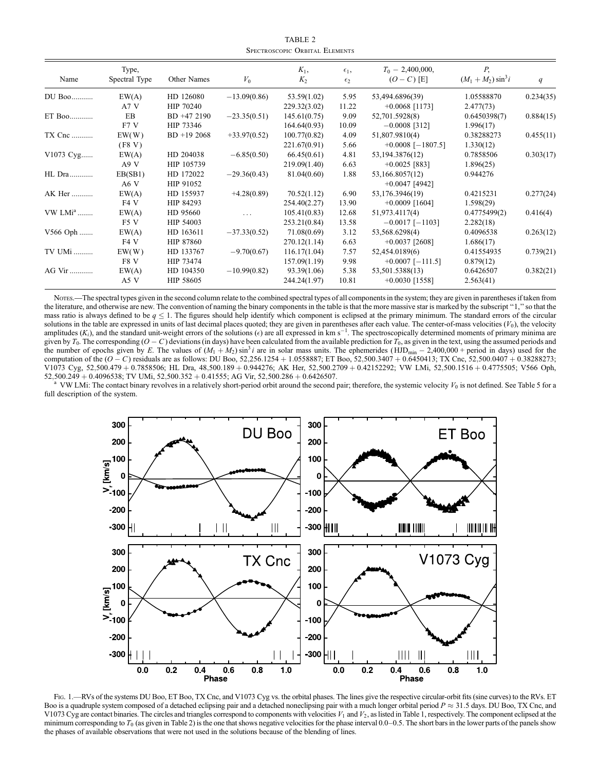TABLE 2 Spectroscopic Orbital Elements

| Name      | Type,<br>Spectral Type | Other Names   | $V_0$          | $K_1$ ,<br>$K_2$ | $\epsilon_1$ ,<br>$\epsilon_2$ | $T_0$ – 2,400,000,<br>$(O - C)$ [E] | Р.<br>$(M_1 + M_2) \sin^3 i$ | q         |
|-----------|------------------------|---------------|----------------|------------------|--------------------------------|-------------------------------------|------------------------------|-----------|
| DU Boo    | EW(A)                  | HD 126080     | $-13.09(0.86)$ | 53.59(1.02)      | 5.95                           | 53,494.6896(39)                     | 1.05588870                   | 0.234(35) |
|           | A7 V                   | HIP 70240     |                | 229.32(3.02)     | 11.22                          | $+0.0068$ [1173]                    | 2.477(73)                    |           |
| ET Boo    | EB                     | BD +47 2190   | $-23.35(0.51)$ | 145.61(0.75)     | 9.09                           | 52,701.5928(8)                      | 0.6450398(7)                 | 0.884(15) |
|           | F7 V                   | HIP 73346     |                | 164.64(0.93)     | 10.09                          | $-0.0008$ [312]                     | 1.996(17)                    |           |
| TX Cnc    | EW(W)                  | $BD + 192068$ | $+33.97(0.52)$ | 100.77(0.82)     | 4.09                           | 51,807.9810(4)                      | 0.38288273                   | 0.455(11) |
|           | (F8 V)                 |               |                | 221.67(0.91)     | 5.66                           | $+0.0008$ [-1807.5]                 | 1.330(12)                    |           |
| V1073 Cyg | EW(A)                  | HD 204038     | $-6.85(0.50)$  | 66.45(0.61)      | 4.81                           | 53,194.3876(12)                     | 0.7858506                    | 0.303(17) |
|           | A9 V                   | HIP 105739    |                | 219.09(1.40)     | 6.63                           | $+0.0025$ [883]                     | 1.896(25)                    |           |
| HL Dra    | EB(SB1)                | HD 172022     | $-29.36(0.43)$ | 81.04(0.60)      | 1.88                           | 53,166.8057(12)                     | 0.944276                     |           |
|           | A6 V                   | HIP 91052     |                |                  |                                | $+0.0047$ [4942]                    |                              |           |
| AK Her    | EW(A)                  | HD 155937     | $+4.28(0.89)$  | 70.52(1.12)      | 6.90                           | 53,176.3946(19)                     | 0.4215231                    | 0.277(24) |
|           | F4 V                   | HIP 84293     |                | 254.40(2.27)     | 13.90                          | $+0.0009$ [1604]                    | 1.598(29)                    |           |
| $VW LMia$ | EW(A)                  | HD 95660      | $\cdots$       | 105.41(0.83)     | 12.68                          | 51,973.4117(4)                      | 0.4775499(2)                 | 0.416(4)  |
|           | F5 V                   | HIP 54003     |                | 253.21(0.84)     | 13.58                          | $-0.0017$ [-1103]                   | 2.282(18)                    |           |
| V566 Oph  | EW(A)                  | HD 163611     | $-37.33(0.52)$ | 71.08(0.69)      | 3.12                           | 53,568.6298(4)                      | 0.4096538                    | 0.263(12) |
|           | F4 V                   | HIP 87860     |                | 270.12(1.14)     | 6.63                           | $+0.0037$ [2608]                    | 1.686(17)                    |           |
| TV UMi    | EW(W)                  | HD 133767     | $-9.70(0.67)$  | 116.17(1.04)     | 7.57                           | 52,454.0189(6)                      | 0.41554935                   | 0.739(21) |
|           | F8 V                   | HIP 73474     |                | 157.09(1.19)     | 9.98                           | $+0.0007$ [-111.5]                  | 0.879(12)                    |           |
| AG Vir    | EW(A)                  | HD 104350     | $-10.99(0.82)$ | 93.39(1.06)      | 5.38                           | 53,501.5388(13)                     | 0.6426507                    | 0.382(21) |
|           | A5 V                   | HIP 58605     |                | 244.24(1.97)     | 10.81                          | $+0.0030$ [1558]                    | 2.563(41)                    |           |

Notes.—The spectral types given in the second column relate to the combined spectral types of all components in the system; they are given in parentheses if taken from the literature, and otherwise are new. The convention of naming the binary components in the table is that the more massive star is marked by the subscript ''1,'' so that the mass ratio is always defined to be  $q \leq 1$ . The figures should help identify which component is eclipsed at the primary minimum. The standard errors of the circular solutions in the table are expressed in units of last decimal places quoted; they are given in parentheses after each value. The center-of-mass velocities  $(V_0)$ , the velocity amplitudes  $(K_i)$ , and the standard unit-weight errors of the solutions  $(\epsilon)$  are all expressed in km s<sup>-1</sup>. The spectroscopically determined moments of primary minima are given by  $T_0$ . The corresponding  $(O - C)$  deviations (in days) have been calculated from the available prediction for  $T_0$ , as given in the text, using the assumed periods and the number of epochs given by E. The values of  $(M_1 + M_2) \sin^3 i$  are in solar mass units. The ephemerides (HJD<sub>min</sub> - 2,400,000 + period in days) used for the computation of the  $(O - C)$  residuals are as follows: DU Boo, 52,256.1254 + 1.0558887; ET Boo, 52,500.3407 + 0.6450413; TX Cnc, 52,500.0407 + 0.38288273; V1073 Cyg, 52;500:479 þ 0:7858506; HL Dra, 48;500:189 þ 0:944276; AK Her, 52;500:2709 þ 0:42152292; VW LMi, 52;500:1516 þ 0:4775505; V566 Oph, 52,500.249 + 0.4096538; TV UMi, 52,500.352 + 0.41555; AG Vir, 52,500.286 + 0.6426507.<br><sup>a</sup> VW LMi: The contact binary revolves in a relatively short-period orbit around the second pair; therefore, the systemic velocity  $V_$ 

full description of the system.



FIG. 1.—RVs of the systems DU Boo, ET Boo, TX Cnc, and V1073 Cyg vs. the orbital phases. The lines give the respective circular-orbit fits (sine curves) to the RVs. ET Boo is a quadruple system composed of a detached eclipsing pair and a detached noneclipsing pair with a much longer orbital period  $P \approx 31.5$  days. DU Boo, TX Cnc, and V1073 Cyg are contact binaries. The circles and triangles correspond to components with velocities  $V_1$  and  $V_2$ , as listed in Table 1, respectively. The component eclipsed at the minimum corresponding to  $T_0$  (as given in Table 2) is the one that shows negative velocities for the phase interval 0.0–0.5. The short bars in the lower parts of the panels show the phases of available observations that were not used in the solutions because of the blending of lines.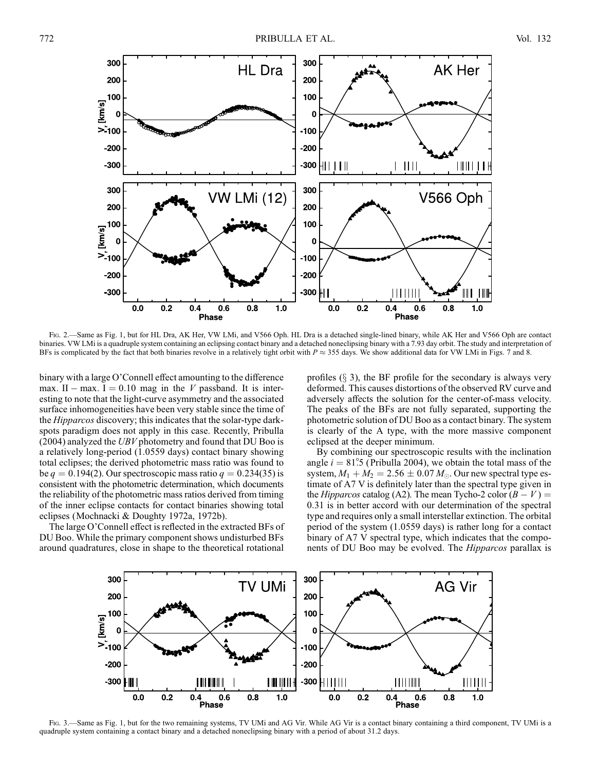

Fig. 2.—Same as Fig. 1, but for HL Dra, AK Her, VW LMi, and V566 Oph. HL Dra is a detached single-lined binary, while AK Her and V566 Oph are contact binaries. VW LMi is a quadruple system containing an eclipsing contact binary and a detached noneclipsing binary with a 7.93 day orbit. The study and interpretation of BFs is complicated by the fact that both binaries revolve in a relatively tight orbit with  $P \approx 355$  days. We show additional data for VW LMi in Figs. 7 and 8.

binary with a large O'Connell effect amounting to the difference max. II – max. I = 0.10 mag in the V passband. It is interesting to note that the light-curve asymmetry and the associated surface inhomogeneities have been very stable since the time of the Hipparcos discovery; this indicates that the solar-type darkspots paradigm does not apply in this case. Recently, Pribulla  $(2004)$  analyzed the UBV photometry and found that DU Boo is a relatively long-period (1.0559 days) contact binary showing total eclipses; the derived photometric mass ratio was found to be  $q = 0.194(2)$ . Our spectroscopic mass ratio  $q = 0.234(35)$  is consistent with the photometric determination, which documents the reliability of the photometric mass ratios derived from timing of the inner eclipse contacts for contact binaries showing total eclipses (Mochnacki & Doughty 1972a, 1972b).

The large O'Connell effect is reflected in the extracted BFs of DU Boo. While the primary component shows undisturbed BFs around quadratures, close in shape to the theoretical rotational

profiles  $(\S$  3), the BF profile for the secondary is always very deformed. This causes distortions of the observed RV curve and adversely affects the solution for the center-of-mass velocity. The peaks of the BFs are not fully separated, supporting the photometric solution of DU Boo as a contact binary. The system is clearly of the A type, with the more massive component eclipsed at the deeper minimum.

By combining our spectroscopic results with the inclination angle  $i = 81^\circ$ .5 (Pribulla 2004), we obtain the total mass of the system,  $M_1 + M_2 = 2.56 \pm 0.07 M_{\odot}$ . Our new spectral type estimate of A7 V is definitely later than the spectral type given in the *Hipparcos* catalog (A2). The mean Tycho-2 color  $(B - V)$  = 0:31 is in better accord with our determination of the spectral type and requires only a small interstellar extinction. The orbital period of the system (1.0559 days) is rather long for a contact binary of A7 V spectral type, which indicates that the components of DU Boo may be evolved. The Hipparcos parallax is



Fig. 3.—Same as Fig. 1, but for the two remaining systems, TV UMi and AG Vir. While AG Vir is a contact binary containing a third component, TV UMi is a quadruple system containing a contact binary and a detached noneclipsing binary with a period of about 31.2 days.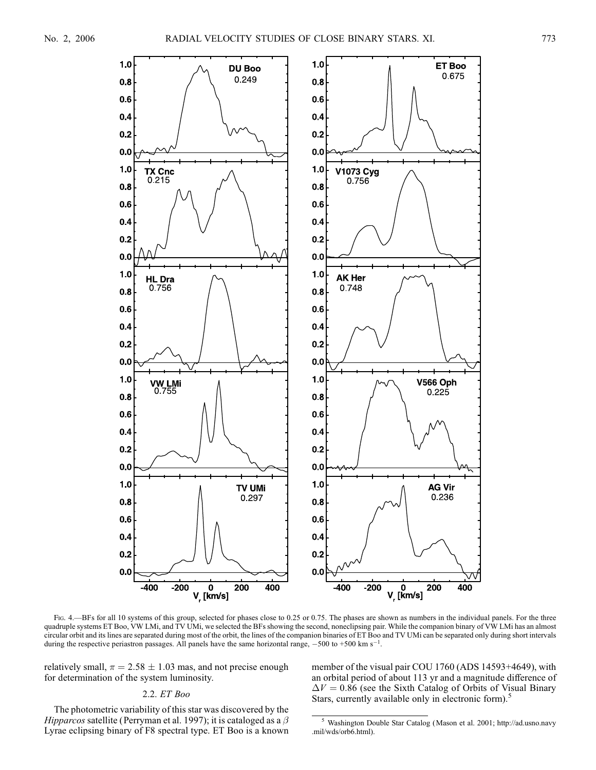

Fig. 4.—BFs for all 10 systems of this group, selected for phases close to 0.25 or 0.75. The phases are shown as numbers in the individual panels. For the three quadruple systems ET Boo, VW LMi, and TV UMi, we selected the BFs showing the second, noneclipsing pair. While the companion binary of VW LMi has an almost circular orbit and its lines are separated during most of the orbit, the lines of the companion binaries of ET Boo and TV UMi can be separated only during short intervals during the respective periastron passages. All panels have the same horizontal range,  $-500$  to  $+500$  km s<sup>-1</sup>.

relatively small,  $\pi = 2.58 \pm 1.03$  mas, and not precise enough for determination of the system luminosity.

### 2.2. ET Boo

The photometric variability of this star was discovered by the Hipparcos satellite (Perryman et al. 1997); it is cataloged as a  $\beta$ Lyrae eclipsing binary of F8 spectral type. ET Boo is a known member of the visual pair COU 1760 (ADS 14593+4649), with an orbital period of about 113 yr and a magnitude difference of  $\Delta V = 0.86$  (see the Sixth Catalog of Orbits of Visual Binary Stars, currently available only in electronic form).<sup>5</sup>

<sup>5</sup> Washington Double Star Catalog (Mason et al. 2001; http://ad.usno.navy .mil/wds/orb6.html).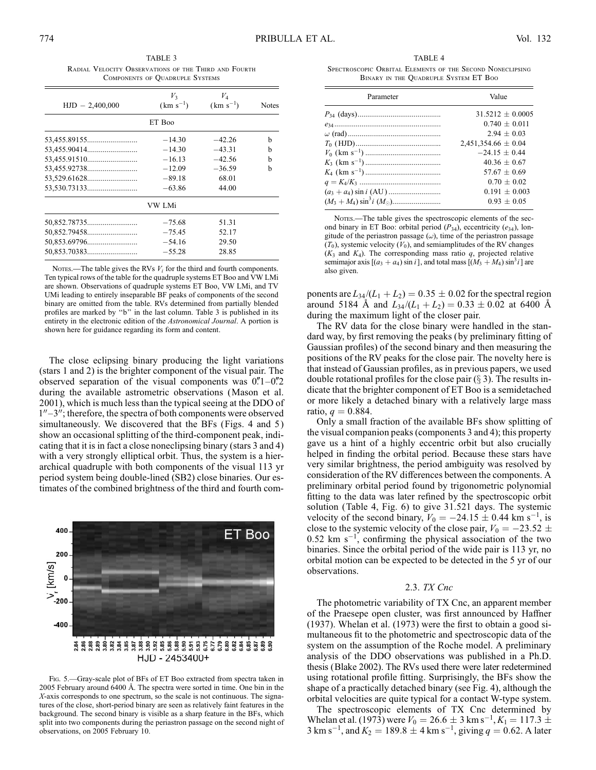TABLE 3 Radial Velocity Observations of the Third and Fourth Components of Quadruple Systems

|                   | $V_3$         | V <sub>4</sub> |              |
|-------------------|---------------|----------------|--------------|
| $HJD - 2,400,000$ | $(km s^{-1})$ | $(km s^{-1})$  | <b>Notes</b> |
|                   | ET Boo        |                |              |
| 53,455.89155      | $-14.30$      | $-42.26$       | b            |
|                   | $-14.30$      | $-43.31$       | b            |
|                   | $-16.13$      | $-42.56$       | h            |
|                   | $-12.09$      | $-36.59$       | h            |
|                   | $-89.18$      | 68.01          |              |
|                   | $-63.86$      | 44.00          |              |
|                   | VW LMi        |                |              |
|                   | $-75.68$      | 51.31          |              |
|                   | $-75.45$      | 52.17          |              |
|                   | $-54.16$      | 29.50          |              |
|                   | $-55.28$      | 28.85          |              |

Notes.—The table gives the RVs  $V_i$  for the third and fourth components. Ten typical rows of the table for the quadruple systems ET Boo and VW LMi are shown. Observations of quadruple systems ET Boo, VW LMi, and TV UMi leading to entirely inseparable BF peaks of components of the second binary are omitted from the table. RVs determined from partially blended profiles are marked by ''b'' in the last column. Table 3 is published in its entirety in the electronic edition of the Astronomical Journal. A portion is shown here for guidance regarding its form and content.

The close eclipsing binary producing the light variations (stars 1 and 2) is the brighter component of the visual pair. The observed separation of the visual components was  $0.1-0.2$ during the available astrometric observations (Mason et al. 2001), which is much less than the typical seeing at the DDO of  $1<sup>0</sup>$ –3<sup>0</sup>; therefore, the spectra of both components were observed simultaneously. We discovered that the BFs (Figs. 4 and 5) show an occasional splitting of the third-component peak, indicating that it is in fact a close noneclipsing binary (stars 3 and 4) with a very strongly elliptical orbit. Thus, the system is a hierarchical quadruple with both components of the visual 113 yr period system being double-lined (SB2) close binaries. Our estimates of the combined brightness of the third and fourth com-



Fig. 5.—Gray-scale plot of BFs of ET Boo extracted from spectra taken in 2005 February around 6400 8. The spectra were sorted in time. One bin in the X-axis corresponds to one spectrum, so the scale is not continuous. The signatures of the close, short-period binary are seen as relatively faint features in the background. The second binary is visible as a sharp feature in the BFs, which split into two components during the periastron passage on the second night of observations, on 2005 February 10.

TABLE 4 Spectroscopic Orbital Elements of the Second Noneclipsing Binary in the Quadruple System ET Boo

| Parameter | Value                   |  |
|-----------|-------------------------|--|
|           | $31.5212 + 0.0005$      |  |
|           | $0.740 + 0.011$         |  |
|           | $2.94 \pm 0.03$         |  |
|           | $2,451,354.66 \pm 0.04$ |  |
|           | $-24.15 + 0.44$         |  |
|           | $40.36 + 0.67$          |  |
|           | $57.67 + 0.69$          |  |
|           | $0.70 + 0.02$           |  |
|           | $0.191 + 0.003$         |  |
|           | $0.93 + 0.05$           |  |

NOTES.—The table gives the spectroscopic elements of the second binary in ET Boo: orbital period  $(P_{34})$ , eccentricity  $(e_{34})$ , longitude of the periastron passage  $(\omega)$ , time of the periastron passage  $(T_0)$ , systemic velocity  $(V_0)$ , and semiamplitudes of the RV changes  $(K_3$  and  $K_4$ ). The corresponding mass ratio q, projected relative semimajor axis  $[(a_3 + a_4)\sin i]$ , and total mass  $[(M_3 + M_4)\sin^3 i]$  are also given.

ponents are  $L_{34}/(L_1 + L_2) = 0.35 \pm 0.02$  for the spectral region around 5184 Å and  $L_{34}/(L_1 + L_2) = 0.33 \pm 0.02$  at 6400 Å during the maximum light of the closer pair.

The RV data for the close binary were handled in the standard way, by first removing the peaks (by preliminary fitting of Gaussian profiles) of the second binary and then measuring the positions of the RV peaks for the close pair. The novelty here is that instead of Gaussian profiles, as in previous papers, we used double rotational profiles for the close pair  $(\S 3)$ . The results indicate that the brighter component of ET Boo is a semidetached or more likely a detached binary with a relatively large mass ratio,  $q = 0.884$ .

Only a small fraction of the available BFs show splitting of the visual companion peaks (components 3 and 4); this property gave us a hint of a highly eccentric orbit but also crucially helped in finding the orbital period. Because these stars have very similar brightness, the period ambiguity was resolved by consideration of the RV differences between the components. A preliminary orbital period found by trigonometric polynomial fitting to the data was later refined by the spectroscopic orbit solution (Table 4, Fig. 6) to give 31.521 days. The systemic velocity of the second binary,  $V_0 = -24.15 \pm 0.44$  km s<sup>-1</sup>, is close to the systemic velocity of the close pair,  $V_0 = -23.52 \pm 10^{-10}$  $0.52$  km s<sup>-1</sup>, confirming the physical association of the two binaries. Since the orbital period of the wide pair is 113 yr, no orbital motion can be expected to be detected in the 5 yr of our observations.

#### 2.3. TX Cnc

The photometric variability of TX Cnc, an apparent member of the Praesepe open cluster, was first announced by Haffner (1937). Whelan et al. (1973) were the first to obtain a good simultaneous fit to the photometric and spectroscopic data of the system on the assumption of the Roche model. A preliminary analysis of the DDO observations was published in a Ph.D. thesis (Blake 2002). The RVs used there were later redetermined using rotational profile fitting. Surprisingly, the BFs show the shape of a practically detached binary (see Fig. 4), although the orbital velocities are quite typical for a contact W-type system.

The spectroscopic elements of TX Cnc determined by Whelan et al. (1973) were  $V_0 = 26.6 \pm 3 \text{ km s}^{-1}$ ,  $K_1 = 117.3 \pm 100$ 3 km s<sup>-1</sup>, and  $K_2 = 189.8 \pm 4$  km s<sup>-1</sup>, giving  $q = 0.62$ . A later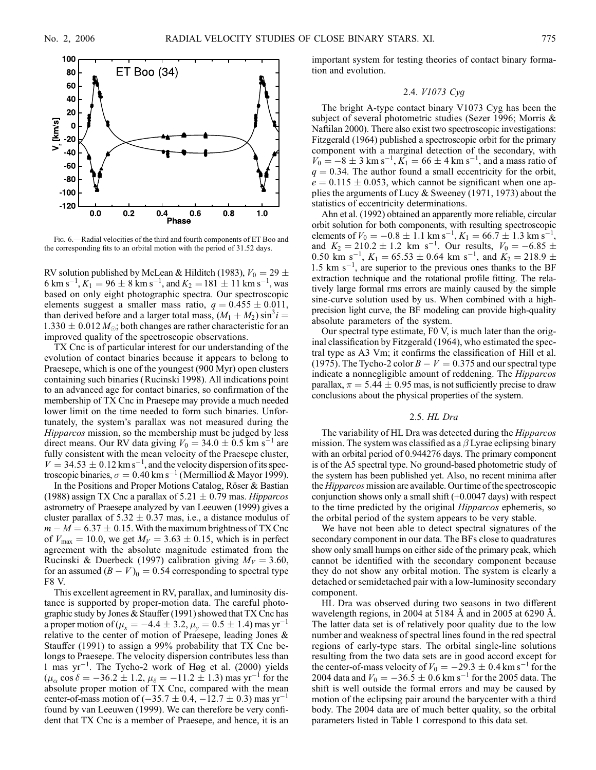

Fig. 6.—Radial velocities of the third and fourth components of ET Boo and the corresponding fits to an orbital motion with the period of 31.52 days.

RV solution published by McLean & Hilditch (1983),  $V_0 = 29 \pm 1$ 6 km s<sup>-1</sup>,  $K_1 = 96 \pm 8$  km s<sup>-1</sup>, and  $K_2 = 181 \pm 11$  km s<sup>-1</sup>, was based on only eight photographic spectra. Our spectroscopic elements suggest a smaller mass ratio,  $q = 0.455 \pm 0.011$ , than derived before and a larger total mass,  $(M_1 + M_2) \sin^3 i =$  $1.330 \pm 0.012 M_{\odot}$ ; both changes are rather characteristic for an improved quality of the spectroscopic observations.

TX Cnc is of particular interest for our understanding of the evolution of contact binaries because it appears to belong to Praesepe, which is one of the youngest (900 Myr) open clusters containing such binaries (Rucinski 1998). All indications point to an advanced age for contact binaries, so confirmation of the membership of TX Cnc in Praesepe may provide a much needed lower limit on the time needed to form such binaries. Unfortunately, the system's parallax was not measured during the Hipparcos mission, so the membership must be judged by less direct means. Our RV data giving  $V_0 = 34.0 \pm 0.5$  km s<sup>-1</sup> are fully consistent with the mean velocity of the Praesepe cluster,  $V = 34.53 \pm 0.12$  km s<sup>-1</sup>, and the velocity dispersion of its spectroscopic binaries,  $\sigma = 0.40 \text{ km s}^{-1}$  (Mermilliod & Mayor 1999).

In the Positions and Proper Motions Catalog, Röser & Bastian (1988) assign TX Cnc a parallax of  $5.21 \pm 0.79$  mas. *Hipparcos* astrometry of Praesepe analyzed by van Leeuwen (1999) gives a cluster parallax of  $5.32 \pm 0.37$  mas, i.e., a distance modulus of  $m - M = 6.37 \pm 0.15$ . With the maximum brightness of TX Cnc of  $V_{\text{max}} = 10.0$ , we get  $M_V = 3.63 \pm 0.15$ , which is in perfect agreement with the absolute magnitude estimated from the Rucinski & Duerbeck (1997) calibration giving  $M_V = 3.60$ , for an assumed  $(B - V)_0 = 0.54$  corresponding to spectral type F8 V.

This excellent agreement in RV, parallax, and luminosity distance is supported by proper-motion data. The careful photographic study by Jones & Stauffer (1991) showed that TX Cnc has a proper motion of ( $\mu_x = -4.4 \pm 3.2$ ,  $\mu_y = 0.5 \pm 1.4$ ) mas yr<sup>-1</sup> relative to the center of motion of Praesepe, leading Jones & Stauffer (1991) to assign a 99% probability that TX Cnc belongs to Praesepe. The velocity dispersion contributes less than 1 mas yr-1 . The Tycho-2 work of Høg et al. (2000) yields  $(\mu_{\alpha}\cos\delta = -36.2 \pm 1.2, \mu_{\delta} = -11.2 \pm 1.3)$  mas yr<sup>-1</sup> for the absolute proper motion of TX Cnc, compared with the mean center-of-mass motion of  $(-35.7 \pm 0.4, -12.7 \pm 0.3)$  mas yr<sup>-1</sup> found by van Leeuwen (1999). We can therefore be very confident that TX Cnc is a member of Praesepe, and hence, it is an important system for testing theories of contact binary formation and evolution.

## 2.4. V1073 Cyg

The bright A-type contact binary V1073 Cyg has been the subject of several photometric studies (Sezer 1996; Morris & Naftilan 2000). There also exist two spectroscopic investigations: Fitzgerald (1964) published a spectroscopic orbit for the primary component with a marginal detection of the secondary, with  $V_0 = -8 \pm 3$  km s<sup>-1</sup>,  $K_1 = 66 \pm 4$  km s<sup>-1</sup>, and a mass ratio of  $q = 0.34$ . The author found a small eccentricity for the orbit,  $e = 0.115 \pm 0.053$ , which cannot be significant when one applies the arguments of Lucy & Sweeney (1971, 1973) about the statistics of eccentricity determinations.

Ahn et al. (1992) obtained an apparently more reliable, circular orbit solution for both components, with resulting spectroscopic elements of  $V_0 = -0.8 \pm \hat{1} \cdot 1 \text{ km s}^{-1}$ ,  $K_1 = 66.7 \pm \hat{1} \cdot 3 \text{ km s}^{-1}$ , and  $K_2 = 210.2 \pm 1.2$  km s<sup>-1</sup>. Our results,  $V_0 = -6.85 \pm 1.2$ 0.50 km s<sup>-1</sup>,  $K_1 = 65.53 \pm 0.64$  km s<sup>-1</sup>, and  $K_2 = 218.9 \pm 0.64$ 1.5 km  $s^{-1}$ , are superior to the previous ones thanks to the BF extraction technique and the rotational profile fitting. The relatively large formal rms errors are mainly caused by the simple sine-curve solution used by us. When combined with a highprecision light curve, the BF modeling can provide high-quality absolute parameters of the system.

Our spectral type estimate, F0 V, is much later than the original classification by Fitzgerald (1964), who estimated the spectral type as A3 Vm; it confirms the classification of Hill et al. (1975). The Tycho-2 color  $B - V = 0.375$  and our spectral type indicate a nonnegligible amount of reddening. The Hipparcos parallax,  $\pi = 5.44 \pm 0.95$  mas, is not sufficiently precise to draw conclusions about the physical properties of the system.

#### 2.5. HL Dra

The variability of HL Dra was detected during the Hipparcos mission. The system was classified as a  $\beta$  Lyrae eclipsing binary with an orbital period of 0.944276 days. The primary component is of the A5 spectral type. No ground-based photometric study of the system has been published yet. Also, no recent minima after the Hipparcos mission are available. Our time of the spectroscopic conjunction shows only a small shift (+0.0047 days) with respect to the time predicted by the original Hipparcos ephemeris, so the orbital period of the system appears to be very stable.

We have not been able to detect spectral signatures of the secondary component in our data. The BFs close to quadratures show only small humps on either side of the primary peak, which cannot be identified with the secondary component because they do not show any orbital motion. The system is clearly a detached or semidetached pair with a low-luminosity secondary component.

HL Dra was observed during two seasons in two different wavelength regions, in 2004 at 5184 Å and in 2005 at 6290 Å. The latter data set is of relatively poor quality due to the low number and weakness of spectral lines found in the red spectral regions of early-type stars. The orbital single-line solutions resulting from the two data sets are in good accord except for the center-of-mass velocity of  $V_0 = -29.3 \pm 0.4$  km s<sup>-1</sup> for the 2004 data and  $V_0 = -36.5 \pm 0.6$  km s<sup>-1</sup> for the 2005 data. The shift is well outside the formal errors and may be caused by motion of the eclipsing pair around the barycenter with a third body. The 2004 data are of much better quality, so the orbital parameters listed in Table 1 correspond to this data set.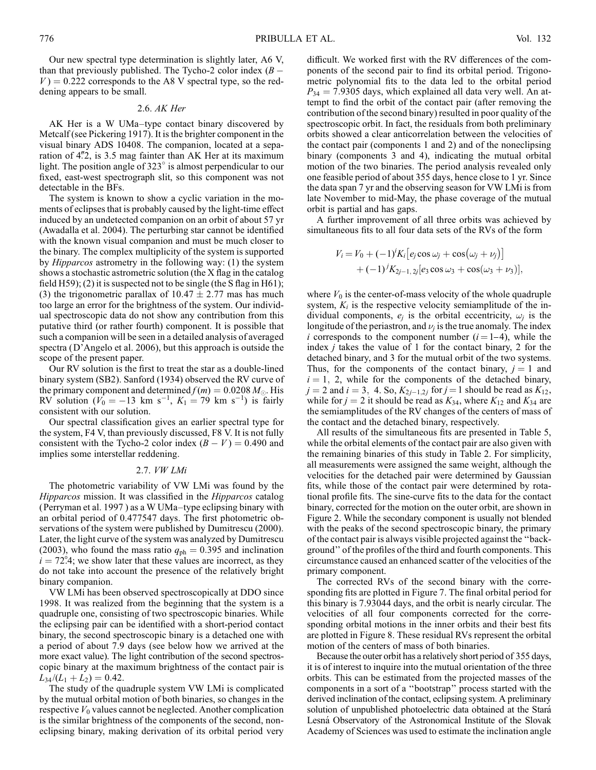Our new spectral type determination is slightly later, A6 V, than that previously published. The Tycho-2 color index  $(B V = 0.222$  corresponds to the A8 V spectral type, so the reddening appears to be small.

#### 2.6. AK Her

AK Her is a W UMa–type contact binary discovered by Metcalf (see Pickering 1917). It is the brighter component in the visual binary ADS 10408. The companion, located at a separation of  $4\frac{1}{2}$ , is 3.5 mag fainter than AK Her at its maximum light. The position angle of  $323^\circ$  is almost perpendicular to our fixed, east-west spectrograph slit, so this component was not detectable in the BFs.

The system is known to show a cyclic variation in the moments of eclipses that is probably caused by the light-time effect induced by an undetected companion on an orbit of about 57 yr (Awadalla et al. 2004). The perturbing star cannot be identified with the known visual companion and must be much closer to the binary. The complex multiplicity of the system is supported by Hipparcos astrometry in the following way: (1) the system shows a stochastic astrometric solution (the X flag in the catalog field H59); (2) it is suspected not to be single (the S flag in H61); (3) the trigonometric parallax of  $10.47 \pm 2.77$  mas has much too large an error for the brightness of the system. Our individual spectroscopic data do not show any contribution from this putative third (or rather fourth) component. It is possible that such a companion will be seen in a detailed analysis of averaged spectra (D'Angelo et al. 2006), but this approach is outside the scope of the present paper.

Our RV solution is the first to treat the star as a double-lined binary system (SB2). Sanford (1934) observed the RV curve of the primary component and determined  $f(m) = 0.0208 M_{\odot}$ . His RV solution ( $V_0 = -13$  km s<sup>-1</sup>,  $K_1 = 79$  km s<sup>-1</sup>) is fairly consistent with our solution.

Our spectral classification gives an earlier spectral type for the system, F4 V, than previously discussed, F8 V. It is not fully consistent with the Tycho-2 color index  $(B - V) = 0.490$  and implies some interstellar reddening.

### 2.7. VW LMi

The photometric variability of VW LMi was found by the Hipparcos mission. It was classified in the Hipparcos catalog (Perryman et al. 1997 ) as a W UMa–type eclipsing binary with an orbital period of 0.477547 days. The first photometric observations of the system were published by Dumitrescu (2000). Later, the light curve of the system was analyzed by Dumitrescu (2003), who found the mass ratio  $q_{ph} = 0.395$  and inclination  $i = 72^\circ$ 4; we show later that these values are incorrect, as they do not take into account the presence of the relatively bright binary companion.

VW LMi has been observed spectroscopically at DDO since 1998. It was realized from the beginning that the system is a quadruple one, consisting of two spectroscopic binaries. While the eclipsing pair can be identified with a short-period contact binary, the second spectroscopic binary is a detached one with a period of about 7.9 days (see below how we arrived at the more exact value). The light contribution of the second spectroscopic binary at the maximum brightness of the contact pair is  $L_{34}/(L_1 + L_2) = 0.42.$ 

The study of the quadruple system VW LMi is complicated by the mutual orbital motion of both binaries, so changes in the respective  $V_0$  values cannot be neglected. Another complication is the similar brightness of the components of the second, noneclipsing binary, making derivation of its orbital period very difficult. We worked first with the RV differences of the components of the second pair to find its orbital period. Trigonometric polynomial fits to the data led to the orbital period  $P_{34} = 7.9305$  days, which explained all data very well. An attempt to find the orbit of the contact pair (after removing the contribution of the second binary) resulted in poor quality of the spectroscopic orbit. In fact, the residuals from both preliminary orbits showed a clear anticorrelation between the velocities of the contact pair (components 1 and 2) and of the noneclipsing binary (components 3 and 4), indicating the mutual orbital motion of the two binaries. The period analysis revealed only one feasible period of about 355 days, hence close to 1 yr. Since the data span 7 yr and the observing season for VW LMi is from late November to mid-May, the phase coverage of the mutual orbit is partial and has gaps.

A further improvement of all three orbits was achieved by simultaneous fits to all four data sets of the RVs of the form

$$
V_i = V_0 + (-1)^i K_i [e_j \cos \omega_j + \cos (\omega_j + \nu_j)] + (-1)^j K_{2j-1, 2j} [e_3 \cos \omega_3 + \cos (\omega_3 + \nu_3)],
$$

where  $V_0$  is the center-of-mass velocity of the whole quadruple system,  $K_i$  is the respective velocity semiamplitude of the individual components,  $e_i$  is the orbital eccentricity,  $\omega_i$  is the longitude of the periastron, and  $\nu_i$  is the true anomaly. The index *i* corresponds to the component number  $(i = 1-4)$ , while the index  $j$  takes the value of 1 for the contact binary, 2 for the detached binary, and 3 for the mutual orbit of the two systems. Thus, for the components of the contact binary,  $j = 1$  and  $i = 1, 2$ , while for the components of the detached binary,  $j = 2$  and  $i = 3, 4$ . So,  $K_{2j-1,2j}$  for  $j = 1$  should be read as  $K_{12}$ , while for  $j = 2$  it should be read as  $K_{34}$ , where  $K_{12}$  and  $K_{34}$  are the semiamplitudes of the RV changes of the centers of mass of the contact and the detached binary, respectively.

All results of the simultaneous fits are presented in Table 5, while the orbital elements of the contact pair are also given with the remaining binaries of this study in Table 2. For simplicity, all measurements were assigned the same weight, although the velocities for the detached pair were determined by Gaussian fits, while those of the contact pair were determined by rotational profile fits. The sine-curve fits to the data for the contact binary, corrected for the motion on the outer orbit, are shown in Figure 2. While the secondary component is usually not blended with the peaks of the second spectroscopic binary, the primary of the contact pair is always visible projected against the ''background'' of the profiles of the third and fourth components. This circumstance caused an enhanced scatter of the velocities of the primary component.

The corrected RVs of the second binary with the corresponding fits are plotted in Figure 7. The final orbital period for this binary is 7.93044 days, and the orbit is nearly circular. The velocities of all four components corrected for the corresponding orbital motions in the inner orbits and their best fits are plotted in Figure 8. These residual RVs represent the orbital motion of the centers of mass of both binaries.

Because the outer orbit has a relatively short period of 355 days, it is of interest to inquire into the mutual orientation of the three orbits. This can be estimated from the projected masses of the components in a sort of a ''bootstrap'' process started with the derived inclination of the contact, eclipsing system. A preliminary solution of unpublished photoelectric data obtained at the Stará Lesná Observatory of the Astronomical Institute of the Slovak Academy of Sciences was used to estimate the inclination angle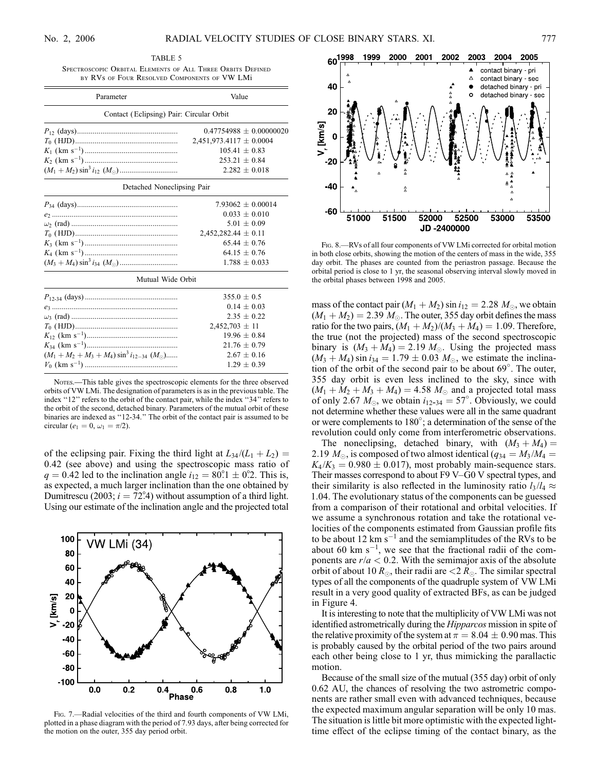| Parameter                                        | Value                       |  |  |
|--------------------------------------------------|-----------------------------|--|--|
| Contact (Eclipsing) Pair: Circular Orbit         |                             |  |  |
|                                                  | $0.47754988 \pm 0.00000020$ |  |  |
|                                                  | $2,451,973.4117 \pm 0.0004$ |  |  |
|                                                  | $105.41 \pm 0.83$           |  |  |
|                                                  | $253.21 \pm 0.84$           |  |  |
|                                                  | $2.282 \pm 0.018$           |  |  |
| Detached Noneclipsing Pair                       |                             |  |  |
|                                                  | $7.93062 \pm 0.00014$       |  |  |
|                                                  | $0.033 \pm 0.010$           |  |  |
|                                                  | $5.01 \pm 0.09$             |  |  |
|                                                  | $2,452,282.44 \pm 0.11$     |  |  |
|                                                  | $65.44 \pm 0.76$            |  |  |
|                                                  | $64.15 \pm 0.76$            |  |  |
|                                                  | $1.788 \pm 0.033$           |  |  |
| Mutual Wide Orbit                                |                             |  |  |
|                                                  | $355.0 \pm 0.5$             |  |  |
|                                                  | $0.14 \pm 0.03$             |  |  |
|                                                  | $2.35 \pm 0.22$             |  |  |
|                                                  | $2,452,703 \pm 11$          |  |  |
|                                                  | $19.96 \pm 0.84$            |  |  |
|                                                  | $21.76 \pm 0.79$            |  |  |
| $(M_1 + M_2 + M_3 + M_4) \sin^3 i_{12-34} (M_0)$ | $2.67 \pm 0.16$             |  |  |
|                                                  | $1.29 \pm 0.39$             |  |  |

Nores.—This table gives the spectroscopic elements for the three observed orbits of VW LMi. The designation of parameters is as in the previous table. The index "12" refers to the orbit of the contact pair, while the index "34" refers to the orbit of the second, detached binary. Parameters of the mutual orbit of these binaries are indexed as ''12-34.'' The orbit of the contact pair is assumed to be circular ( $e_1 = 0, \omega_1 = \pi/2$ ).

of the eclipsing pair. Fixing the third light at  $L_{34}/(L_1 + L_2) =$ 0:42 (see above) and using the spectroscopic mass ratio of  $q = 0.42$  led to the inclination angle  $i_{12} = 80^{\circ}$ . This is, as expected, a much larger inclination than the one obtained by Dumitrescu (2003;  $i = 72^{\circ}$ 4) without assumption of a third light. Using our estimate of the inclination angle and the projected total



Fig. 7.—Radial velocities of the third and fourth components of VW LMi, plotted in a phase diagram with the period of 7.93 days, after being corrected for the motion on the outer, 355 day period orbit.



Fig. 8.—RVs of all four components of VW LMi corrected for orbital motion in both close orbits, showing the motion of the centers of mass in the wide, 355 day orbit. The phases are counted from the periastron passage. Because the orbital period is close to 1 yr, the seasonal observing interval slowly moved in the orbital phases between 1998 and 2005.

mass of the contact pair  $(M_1 + M_2)$  sin  $i_{12} = 2.28 M_{\odot}$ , we obtain  $(M_1 + M_2) = 2.39 M_{\odot}$ . The outer, 355 day orbit defines the mass ratio for the two pairs,  $(M_1 + M_2)/(M_3 + M_4) = 1.09$ . Therefore, the true (not the projected) mass of the second spectroscopic binary is  $(M_3 + M_4) = 2.19 M_{\odot}$ . Using the projected mass  $(M_3 + M_4) \sin i_{34} = 1.79 \pm 0.03 M_{\odot}$ , we estimate the inclination of the orbit of the second pair to be about 69 . The outer, 355 day orbit is even less inclined to the sky, since with  $(M_1 + M_2 + M_3 + M_4) = 4.58 M_{\odot}$  and a projected total mass of only 2.67  $M_{\odot}$ , we obtain  $i_{12-34} = 57^{\circ}$ . Obviously, we could not determine whether these values were all in the same quadrant or were complements to  $180^\circ$ ; a determination of the sense of the revolution could only come from interferometric observations.

The noneclipsing, detached binary, with  $(M_3 + M_4) =$ 2.19  $M_{\odot}$ , is composed of two almost identical ( $q_{34} = M_3 / M_4 =$  $K_4/K_3 = 0.980 \pm 0.017$ , most probably main-sequence stars. Their masses correspond to about F9 V–G0 V spectral types, and their similarity is also reflected in the luminosity ratio  $l_3/l_4 \approx$ 1:04. The evolutionary status of the components can be guessed from a comparison of their rotational and orbital velocities. If we assume a synchronous rotation and take the rotational velocities of the components estimated from Gaussian profile fits to be about 12  $\text{km s}^{-1}$  and the semiamplitudes of the RVs to be about 60 km  $s^{-1}$ , we see that the fractional radii of the components are  $r/a < 0.2$ . With the semimajor axis of the absolute orbit of about 10  $R_{\odot}$ , their radii are <2  $R_{\odot}$ . The similar spectral types of all the components of the quadruple system of VW LMi result in a very good quality of extracted BFs, as can be judged in Figure 4.

It is interesting to note that the multiplicity of VW LMi was not identified astrometrically during the *Hipparcos* mission in spite of the relative proximity of the system at  $\pi = 8.04 \pm 0.90$  mas. This is probably caused by the orbital period of the two pairs around each other being close to 1 yr, thus mimicking the parallactic motion.

Because of the small size of the mutual (355 day) orbit of only 0.62 AU, the chances of resolving the two astrometric components are rather small even with advanced techniques, because the expected maximum angular separation will be only 10 mas. The situation is little bit more optimistic with the expected lighttime effect of the eclipse timing of the contact binary, as the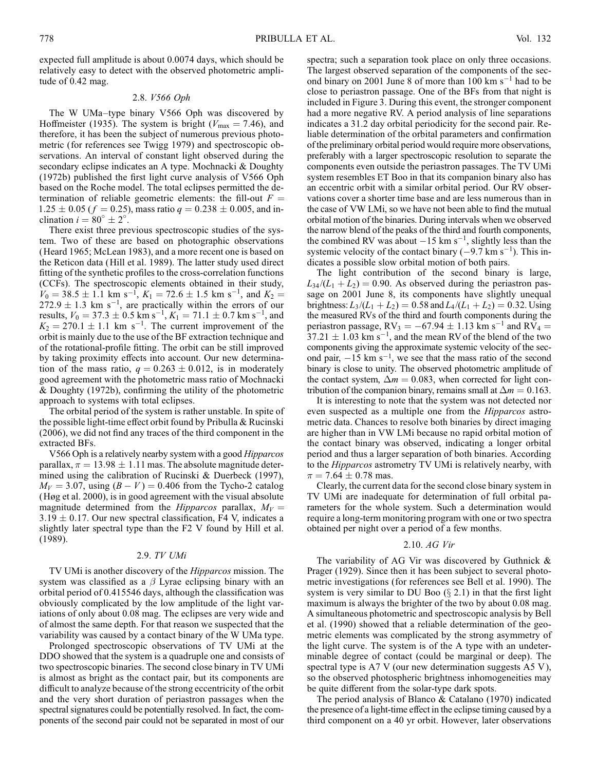expected full amplitude is about 0.0074 days, which should be relatively easy to detect with the observed photometric amplitude of 0.42 mag.

#### 2.8. V566 Oph

The W UMa–type binary V566 Oph was discovered by Hoffmeister (1935). The system is bright ( $V_{\text{max}} = 7.46$ ), and therefore, it has been the subject of numerous previous photometric (for references see Twigg 1979) and spectroscopic observations. An interval of constant light observed during the secondary eclipse indicates an A type. Mochnacki & Doughty (1972b) published the first light curve analysis of V566 Oph based on the Roche model. The total eclipses permitted the determination of reliable geometric elements: the fill-out  $F =$  $1.25 \pm 0.05$  ( $f = 0.25$ ), mass ratio  $q = 0.238 \pm 0.005$ , and inclination  $i = 80^\circ \pm 2^\circ$ .

There exist three previous spectroscopic studies of the system. Two of these are based on photographic observations (Heard 1965; McLean 1983), and a more recent one is based on the Reticon data (Hill et al. 1989). The latter study used direct fitting of the synthetic profiles to the cross-correlation functions (CCFs). The spectroscopic elements obtained in their study,  $V_0 = 38.5 \pm 1.1$  km s<sup>-1</sup>,  $K_1 = 72.6 \pm 1.5$  km s<sup>-1</sup>, and  $K_2 =$  $272.9 \pm 1.3$  km s<sup>-1</sup>, are practically within the errors of our results,  $V_0 = 37.3 \pm 0.5 \text{ km s}^{-1}$ ,  $K_1 = 71.1 \pm 0.7 \text{ km s}^{-1}$ , and  $K_2 = 270.1 \pm 1.1$  km s<sup>-1</sup>. The current improvement of the orbit is mainly due to the use of the BF extraction technique and of the rotational-profile fitting. The orbit can be still improved by taking proximity effects into account. Our new determination of the mass ratio,  $q = 0.263 \pm 0.012$ , is in moderately good agreement with the photometric mass ratio of Mochnacki & Doughty (1972b), confirming the utility of the photometric approach to systems with total eclipses.

The orbital period of the system is rather unstable. In spite of the possible light-time effect orbit found by Pribulla & Rucinski (2006), we did not find any traces of the third component in the extracted BFs.

V566 Oph is a relatively nearby system with a good Hipparcos parallax,  $\pi = 13.98 \pm 1.11$  mas. The absolute magnitude determined using the calibration of Rucinski & Duerbeck (1997),  $M_V = 3.07$ , using  $(B - V) = 0.406$  from the Tycho-2 catalog (Høg et al. 2000), is in good agreement with the visual absolute magnitude determined from the *Hipparcos* parallax,  $M_V =$  $3.19 \pm 0.17$ . Our new spectral classification, F4 V, indicates a slightly later spectral type than the F2 V found by Hill et al. (1989).

#### 2.9. TV UMi

TV UMi is another discovery of the Hipparcos mission. The system was classified as a  $\beta$  Lyrae eclipsing binary with an orbital period of 0.415546 days, although the classification was obviously complicated by the low amplitude of the light variations of only about 0.08 mag. The eclipses are very wide and of almost the same depth. For that reason we suspected that the variability was caused by a contact binary of the W UMa type.

Prolonged spectroscopic observations of TV UMi at the DDO showed that the system is a quadruple one and consists of two spectroscopic binaries. The second close binary in TV UMi is almost as bright as the contact pair, but its components are difficult to analyze because of the strong eccentricity of the orbit and the very short duration of periastron passages when the spectral signatures could be potentially resolved. In fact, the components of the second pair could not be separated in most of our spectra; such a separation took place on only three occasions. The largest observed separation of the components of the second binary on 2001 June 8 of more than  $100 \text{ km s}^{-1}$  had to be close to periastron passage. One of the BFs from that night is included in Figure 3. During this event, the stronger component had a more negative RV. A period analysis of line separations indicates a 31.2 day orbital periodicity for the second pair. Reliable determination of the orbital parameters and confirmation of the preliminary orbital period would require more observations, preferably with a larger spectroscopic resolution to separate the components even outside the periastron passages. The TV UMi system resembles ET Boo in that its companion binary also has an eccentric orbit with a similar orbital period. Our RV observations cover a shorter time base and are less numerous than in the case of VW LMi, so we have not been able to find the mutual orbital motion of the binaries. During intervals when we observed the narrow blend of the peaks of the third and fourth components, the combined RV was about  $-15$  km s<sup>-1</sup>, slightly less than the systemic velocity of the contact binary  $(-9.7 \text{ km s}^{-1})$ . This indicates a possible slow orbital motion of both pairs.

The light contribution of the second binary is large,  $L_{34}/(L_1 + L_2) = 0.90$ . As observed during the periastron passage on 2001 June 8, its components have slightly unequal brightness:  $L_3/(L_1 + L_2) = 0.58$  and  $L_4/(L_1 + L_2) = 0.32$ . Using the measured RVs of the third and fourth components during the periastron passage, RV<sub>3</sub> =  $-67.94 \pm 1.13$  km s<sup>-1</sup> and RV<sub>4</sub> =  $37.21 \pm 1.03$  km s<sup>-1</sup>, and the mean RV of the blend of the two components giving the approximate systemic velocity of the second pair,  $-15 \text{ km s}^{-1}$ , we see that the mass ratio of the second binary is close to unity. The observed photometric amplitude of the contact system,  $\Delta m = 0.083$ , when corrected for light contribution of the companion binary, remains small at  $\Delta m = 0.163$ .

It is interesting to note that the system was not detected nor even suspected as a multiple one from the Hipparcos astrometric data. Chances to resolve both binaries by direct imaging are higher than in VW LMi because no rapid orbital motion of the contact binary was observed, indicating a longer orbital period and thus a larger separation of both binaries. According to the Hipparcos astrometry TV UMi is relatively nearby, with  $\pi = 7.64 \pm 0.78$  mas.

Clearly, the current data for the second close binary system in TV UMi are inadequate for determination of full orbital parameters for the whole system. Such a determination would require a long-term monitoring program with one or two spectra obtained per night over a period of a few months.

#### 2.10. AG Vir

The variability of AG Vir was discovered by Guthnick & Prager (1929). Since then it has been subject to several photometric investigations (for references see Bell et al. 1990). The system is very similar to DU Boo  $(\S$  2.1) in that the first light maximum is always the brighter of the two by about 0.08 mag. A simultaneous photometric and spectroscopic analysis by Bell et al. (1990) showed that a reliable determination of the geometric elements was complicated by the strong asymmetry of the light curve. The system is of the A type with an undeterminable degree of contact (could be marginal or deep). The spectral type is A7 V (our new determination suggests A5 V), so the observed photospheric brightness inhomogeneities may be quite different from the solar-type dark spots.

The period analysis of Blanco & Catalano (1970) indicated the presence of a light-time effect in the eclipse timing caused by a third component on a 40 yr orbit. However, later observations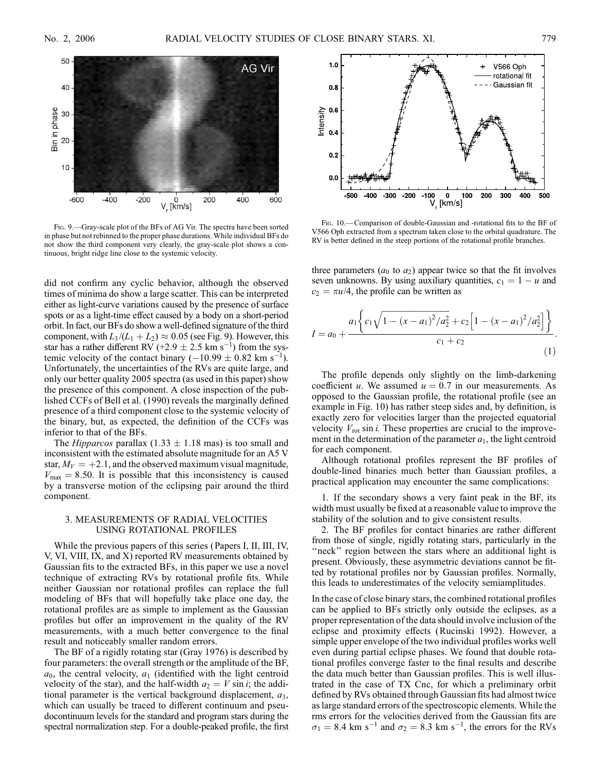

Fig. 9.—Gray-scale plot of the BFs of AG Vir. The spectra have been sorted in phase but not rebinned to the proper phase durations. While individual BFs do not show the third component very clearly, the gray-scale plot shows a continuous, bright ridge line close to the systemic velocity.

did not confirm any cyclic behavior, although the observed times of minima do show a large scatter. This can be interpreted either as light-curve variations caused by the presence of surface spots or as a light-time effect caused by a body on a short-period orbit. In fact, our BFs do show a well-defined signature of the third component, with  $L_3/(L_1 + L_2) \approx 0.05$  (see Fig. 9). However, this star has a rather different RV  $(+2.9 \pm 2.5 \text{ km s}^{-1})$  from the systemic velocity of the contact binary  $(-10.99 \pm 0.82 \text{ km s}^{-1})$ . Unfortunately, the uncertainties of the RVs are quite large, and only our better quality 2005 spectra (as used in this paper) show the presence of this component. A close inspection of the published CCFs of Bell et al. (1990) reveals the marginally defined presence of a third component close to the systemic velocity of the binary, but, as expected, the definition of the CCFs was inferior to that of the BFs.

The *Hipparcos* parallax (1.33  $\pm$  1.18 mas) is too small and inconsistent with the estimated absolute magnitude for an A5 V star,  $M_V = +2.1$ , and the observed maximum visual magnitude,  $V_{\text{max}} = 8.50$ . It is possible that this inconsistency is caused by a transverse motion of the eclipsing pair around the third component.

#### 3. MEASUREMENTS OF RADIAL VELOCITIES USING ROTATIONAL PROFILES

While the previous papers of this series (Papers I, II, III, IV, V, VI, VIII, IX, and X) reported RV measurements obtained by Gaussian fits to the extracted BFs, in this paper we use a novel technique of extracting RVs by rotational profile fits. While neither Gaussian nor rotational profiles can replace the full modeling of BFs that will hopefully take place one day, the rotational profiles are as simple to implement as the Gaussian profiles but offer an improvement in the quality of the RV measurements, with a much better convergence to the final result and noticeably smaller random errors.

The BF of a rigidly rotating star (Gray 1976) is described by four parameters: the overall strength or the amplitude of the BF,  $a_0$ , the central velocity,  $a_1$  (identified with the light centroid velocity of the star), and the half-width  $a_2 = V \sin i$ ; the additional parameter is the vertical background displacement,  $a_3$ , which can usually be traced to different continuum and pseudocontinuum levels for the standard and program stars during the spectral normalization step. For a double-peaked profile, the first



Fig. 10.—Comparison of double-Gaussian and -rotational fits to the BF of V566 Oph extracted from a spectrum taken close to the orbital quadrature. The RV is better defined in the steep portions of the rotational profile branches.

three parameters  $(a_0 \text{ to } a_2)$  appear twice so that the fit involves seven unknowns. By using auxiliary quantities,  $c_1 = 1 - u$  and  $c_2 = \pi u/4$ , the profile can be written as

$$
I = a_0 + \frac{a_1 \left\{ c_1 \sqrt{1 - (x - a_1)^2 / a_2^2} + c_2 \left[ 1 - (x - a_1)^2 / a_2^2 \right] \right\}}{c_1 + c_2}.
$$
\n(1)

The profile depends only slightly on the limb-darkening coefficient u. We assumed  $u = 0.7$  in our measurements. As opposed to the Gaussian profile, the rotational profile (see an example in Fig. 10) has rather steep sides and, by definition, is exactly zero for velocities larger than the projected equatorial velocity  $V_{\text{rot}}$  sin *i*. These properties are crucial to the improvement in the determination of the parameter  $a_1$ , the light centroid for each component.

Although rotational profiles represent the BF profiles of double-lined binaries much better than Gaussian profiles, a practical application may encounter the same complications:

1. If the secondary shows a very faint peak in the BF, its width must usually be fixed at a reasonable value to improve the stability of the solution and to give consistent results.

2. The BF profiles for contact binaries are rather different from those of single, rigidly rotating stars, particularly in the "neck" region between the stars where an additional light is present. Obviously, these asymmetric deviations cannot be fitted by rotational profiles nor by Gaussian profiles. Normally, this leads to underestimates of the velocity semiamplitudes.

In the case of close binary stars, the combined rotational profiles can be applied to BFs strictly only outside the eclipses, as a proper representation of the data should involve inclusion of the eclipse and proximity effects (Rucinski 1992). However, a simple upper envelope of the two individual profiles works well even during partial eclipse phases. We found that double rotational profiles converge faster to the final results and describe the data much better than Gaussian profiles. This is well illustrated in the case of TX Cnc, for which a preliminary orbit defined by RVs obtained through Gaussian fits had almost twice as large standard errors of the spectroscopic elements. While the rms errors for the velocities derived from the Gaussian fits are  $\sigma_1 = 8.4$  km s<sup>-1</sup> and  $\sigma_2 = 8.3$  km s<sup>-1</sup>, the errors for the RVs